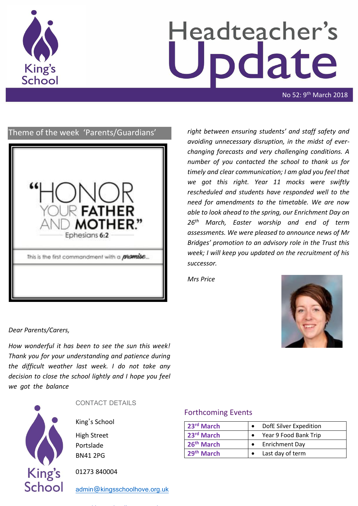

# Headteacher's odate

No 52: 9th March 2018

# Theme of the week 'Parents/Guardians'



*right between ensuring students' and staff safety and avoiding unnecessary disruption, in the midst of everchanging forecasts and very challenging conditions. A number of you contacted the school to thank us for timely and clear communication; I am glad you feel that we got this right. Year 11 mocks were swiftly rescheduled and students have responded well to the need for amendments to the timetable. We are now able to look ahead to the spring, our Enrichment Day on 26th March, Easter worship and end of term assessments. We were pleased to announce news of Mr Bridges' promotion to an advisory role in the Trust this week; I will keep you updated on the recruitment of his successor.*

*Mrs Price*



*Dear Parents/Carers,*

*How wonderful it has been to see the sun this week! Thank you for your understanding and patience during the difficult weather last week. I do not take any decision to close the school lightly and I hope you feel we got the balance* 



# CONTACT DETAILS

King's School

High Street Portslade BN41 2PG

01273 840004

[admin@kingsschoolhove.org.uk](mailto:admin@kingsschoolhove.org.uk)

# Forthcoming Events

| 23rd March             | DofE Silver Expedition |
|------------------------|------------------------|
| 23rd March             | Year 9 Food Bank Trip  |
| 26 <sup>th</sup> March | • Enrichment Day       |
| 29th March             | Last day of term       |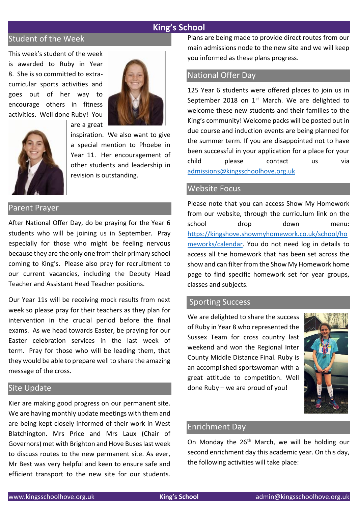## **King's School**

# Student of the Week

This week's student of the week is awarded to Ruby in Year 8. She is so committed to extracurricular sports activities and goes out of her way to encourage others in fitness activities. Well done Ruby! You





inspiration. We also want to give a special mention to Phoebe in Year 11. Her encouragement of other students and leadership in revision is outstanding.

# Parent Prayer

After National Offer Day, do be praying for the Year 6 students who will be joining us in September. Pray especially for those who might be feeling nervous because they are the only one from their primary school coming to King's. Please also pray for recruitment to our current vacancies, including the Deputy Head Teacher and Assistant Head Teacher positions.

are a great

Our Year 11s will be receiving mock results from next week so please pray for their teachers as they plan for intervention in the crucial period before the final exams. As we head towards Easter, be praying for our Easter celebration services in the last week of term. Pray for those who will be leading them, that they would be able to prepare well to share the amazing message of the cross.

#### Site Update

Kier are making good progress on our permanent site. We are having monthly update meetings with them and are being kept closely informed of their work in West Blatchington. Mrs Price and Mrs Laux (Chair of Governors) met with Brighton and Hove Buses last week to discuss routes to the new permanent site. As ever, Mr Best was very helpful and keen to ensure safe and efficient transport to the new site for our students.

Plans are being made to provide direct routes from our main admissions node to the new site and we will keep you informed as these plans progress.

## National Offer Day

125 Year 6 students were offered places to join us in September 2018 on  $1<sup>st</sup>$  March. We are delighted to welcome these new students and their families to the King's community! Welcome packs will be posted out in due course and induction events are being planned for the summer term. If you are disappointed not to have been successful in your application for a place for your child please contact us via [admissions@kingsschoolhove.org.uk](mailto:admissions@kingsschoolhove.org.uk)

### Website Focus

Please note that you can access Show My Homework from our website, through the curriculum link on the school drop down menu: [https://kingshove.showmyhomework.co.uk/school/ho](https://kingshove.showmyhomework.co.uk/school/homeworks/calendar) [meworks/calendar.](https://kingshove.showmyhomework.co.uk/school/homeworks/calendar) You do not need log in details to access all the homework that has been set across the show and can filter from the Show My Homework home page to find specific homework set for year groups, classes and subjects.

#### Sporting Success

We are delighted to share the success of Ruby in Year 8 who represented the Sussex Team for cross country last weekend and won the Regional Inter County Middle Distance Final. Ruby is an accomplished sportswoman with a great attitude to competition. Well done Ruby – we are proud of you!



#### Enrichment Day

On Monday the 26<sup>th</sup> March, we will be holding our second enrichment day this academic year. On this day, the following activities will take place: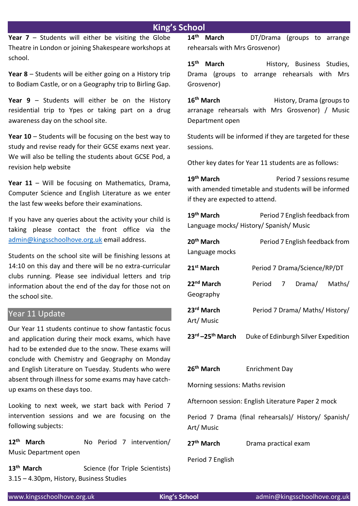# **King's School**

**Year 7** – Students will either be visiting the Globe Theatre in London or joining Shakespeare workshops at school.

**Year 8** – Students will be either going on a History trip to Bodiam Castle, or on a Geography trip to Birling Gap.

**Year 9** – Students will either be on the History residential trip to Ypes or taking part on a drug awareness day on the school site.

**Year 10** – Students will be focusing on the best way to study and revise ready for their GCSE exams next year. We will also be telling the students about GCSE Pod, a revision help website

**Year 11** – Will be focusing on Mathematics, Drama, Computer Science and English Literature as we enter the last few weeks before their examinations.

If you have any queries about the activity your child is taking please contact the front office via the [admin@kingsschoolhove.org.uk](mailto:admin@kingsschoolhove.org.uk) email address.

Students on the school site will be finishing lessons at 14:10 on this day and there will be no extra-curricular clubs running. Please see individual letters and trip information about the end of the day for those not on the school site.

# Year 11 Update

Our Year 11 students continue to show fantastic focus and application during their mock exams, which have had to be extended due to the snow. These exams will conclude with Chemistry and Geography on Monday and English Literature on Tuesday. Students who were absent through illness for some exams may have catchup exams on these days too.

Looking to next week, we start back with Period 7 intervention sessions and we are focusing on the following subjects:

**12th March** No Period 7 intervention/ Music Department open

13<sup>th</sup> March Science (for Triple Scientists) 3.15 – 4.30pm, History, Business Studies

**14th March** DT/Drama (groups to arrange rehearsals with Mrs Grosvenor)

15<sup>th</sup> March **History**, Business Studies, Drama (groups to arrange rehearsals with Mrs Grosvenor)

16<sup>th</sup> March History, Drama (groups to arranage rehearsals with Mrs Grosvenor) / Music Department open

Students will be informed if they are targeted for these sessions.

Other key dates for Year 11 students are as follows:

**19th March** Period 7 sessions resume with amended timetable and students will be informed if they are expected to attend.

**19th March** Period 7 English feedback from Language mocks/ History/ Spanish/ Music

| 20 <sup>th</sup> March<br>Language mocks | Period 7 English feedback from  |  |                              |        |  |
|------------------------------------------|---------------------------------|--|------------------------------|--------|--|
| 21 <sup>st</sup> March                   |                                 |  | Period 7 Drama/Science/RP/DT |        |  |
| 22 <sup>nd</sup> March<br>Geography      | Period 7                        |  | Drama/                       | Maths/ |  |
| 23rd March<br>Art/Music                  | Period 7 Drama/ Maths/ History/ |  |                              |        |  |

**23rd –25th March** Duke of Edinburgh Silver Expedition

**26th March** Enrichment Day Morning sessions: Maths revision Afternoon session: English Literature Paper 2 mock Period 7 Drama (final rehearsals)/ History/ Spanish/ Art/ Music **27th March** Drama practical exam

Period 7 English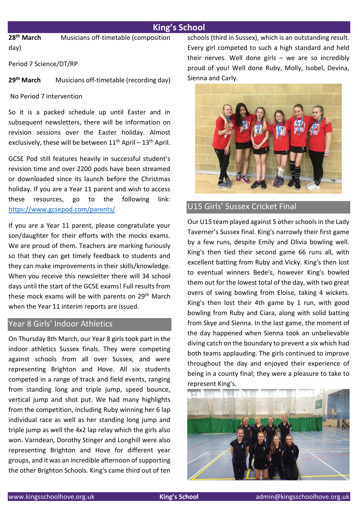# **King's School**

**28th March** Musicians off-timetable (composition day)

Period 7 Science/DT/RP

**29th March** Musicians off-timetable (recording day)

No Period 7 intervention

So it is a packed schedule up until Easter and in subsequent newsletters, there will be information on revision sessions over the Easter holiday. Almost exclusively, these will be between  $11<sup>th</sup>$  April –  $13<sup>th</sup>$  April.

GCSE Pod still features heavily in successful student's revision time and over 2200 pods have been streamed or downloaded since its launch before the Christmas holiday. If you are a Year 11 parent and wish to access these resources, go to the following link: <https://www.gcsepod.com/parents/>

If you are a Year 11 parent, please congratulate your son/daughter for their efforts with the mocks exams. We are proud of them. Teachers are marking furiously so that they can get timely feedback to students and they can make improvements in their skills/knowledge. When you receive this newsletter there will 34 school days until the start of the GCSE exams! Full results from these mock exams will be with parents on 29<sup>th</sup> March when the Year 11 interim reports are issued.

## Year 8 Girls' Indoor Athletics

On Thursday 8th March, our Year 8 girls took part in the indoor athletics Sussex finals. They were competing against schools from all over Sussex, and were representing Brighton and Hove. All six students competed in a range of track and field events, ranging from standing long and triple jump, speed bounce, vertical jump and shot put. We had many highlights from the competition, including Ruby winning her 6 lap individual race as well as her standing long jump and triple jump as well the 4x2 lap relay which the girls also won. Varndean, Dorothy Stinger and Longhill were also representing Brighton and Hove for different year groups, and it was an incredible afternoon of supporting the other Brighton Schools. King's came third out of ten schools (third in Sussex), which is an outstanding result. Every girl competed to such a high standard and held their nerves. Well done girls  $-$  we are so incredibly proud of you! Well done Ruby, Molly, Isobel, Devina, Sienna and Carly.



# U15 Girls' Sussex Cricket Final

Our U15 team played against 5 other schools in the Lady Taverner's Sussex final. King's narrowly their first game by a few runs, despite Emily and Olivia bowling well. King's then tied their second game 66 runs all, with excellent batting from Ruby and Vicky. King's then lost to eventual winners Bede's, however King's bowled them out for the lowest total of the day, with two great overs of swing bowling from Eloise, taking 4 wickets. King's then lost their 4th game by 1 run, with good bowling from Ruby and Ciara, along with solid batting from Skye and Sienna. In the last game, the moment of the day happened when Sienna took an unbelievable diving catch on the boundary to prevent a six which had both teams applauding. The girls continued to improve throughout the day and enjoyed their experience of being in a county final; they were a pleasure to take to represent King's.